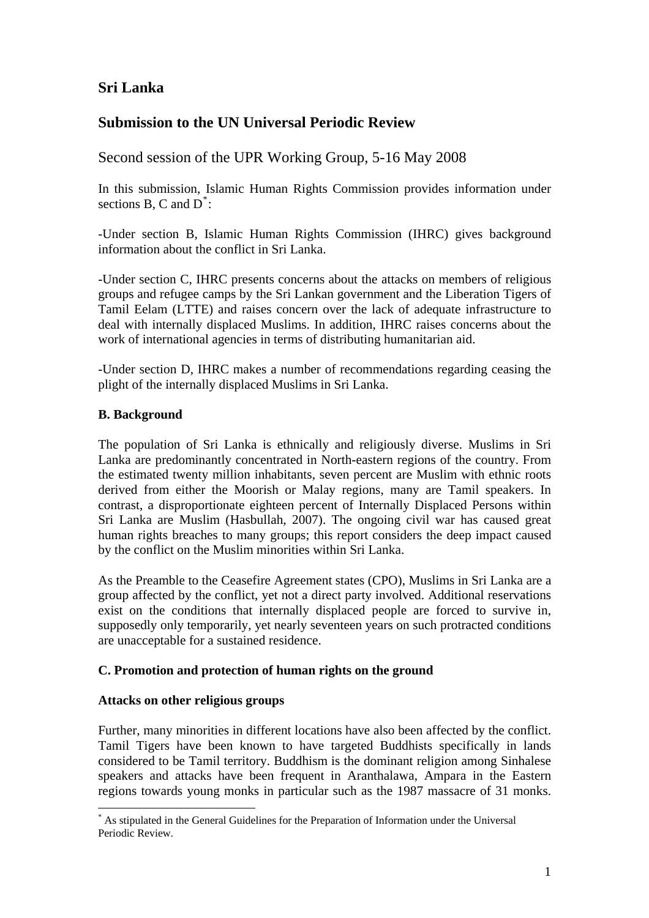# **Sri Lanka**

# **Submission to the UN Universal Periodic Review**

Second session of the UPR Working Group, 5-16 May 2008

In this submission, Islamic Human Rights Commission provides information under sections B, C and  $D^*$  $D^*$ :

-Under section B, Islamic Human Rights Commission (IHRC) gives background information about the conflict in Sri Lanka.

-Under section C, IHRC presents concerns about the attacks on members of religious groups and refugee camps by the Sri Lankan government and the Liberation Tigers of Tamil Eelam (LTTE) and raises concern over the lack of adequate infrastructure to deal with internally displaced Muslims. In addition, IHRC raises concerns about the work of international agencies in terms of distributing humanitarian aid.

-Under section D, IHRC makes a number of recommendations regarding ceasing the plight of the internally displaced Muslims in Sri Lanka.

## **B. Background**

The population of Sri Lanka is ethnically and religiously diverse. Muslims in Sri Lanka are predominantly concentrated in North-eastern regions of the country. From the estimated twenty million inhabitants, seven percent are Muslim with ethnic roots derived from either the Moorish or Malay regions, many are Tamil speakers. In contrast, a disproportionate eighteen percent of Internally Displaced Persons within Sri Lanka are Muslim (Hasbullah, 2007). The ongoing civil war has caused great human rights breaches to many groups; this report considers the deep impact caused by the conflict on the Muslim minorities within Sri Lanka.

As the Preamble to the Ceasefire Agreement states (CPO), Muslims in Sri Lanka are a group affected by the conflict, yet not a direct party involved. Additional reservations exist on the conditions that internally displaced people are forced to survive in, supposedly only temporarily, yet nearly seventeen years on such protracted conditions are unacceptable for a sustained residence.

### **C. Promotion and protection of human rights on the ground**

### **Attacks on other religious groups**

Further, many minorities in different locations have also been affected by the conflict. Tamil Tigers have been known to have targeted Buddhists specifically in lands considered to be Tamil territory. Buddhism is the dominant religion among Sinhalese speakers and attacks have been frequent in Aranthalawa, Ampara in the Eastern regions towards young monks in particular such as the 1987 massacre of 31 monks.

<span id="page-0-0"></span> $\overline{a}$ \* As stipulated in the General Guidelines for the Preparation of Information under the Universal Periodic Review.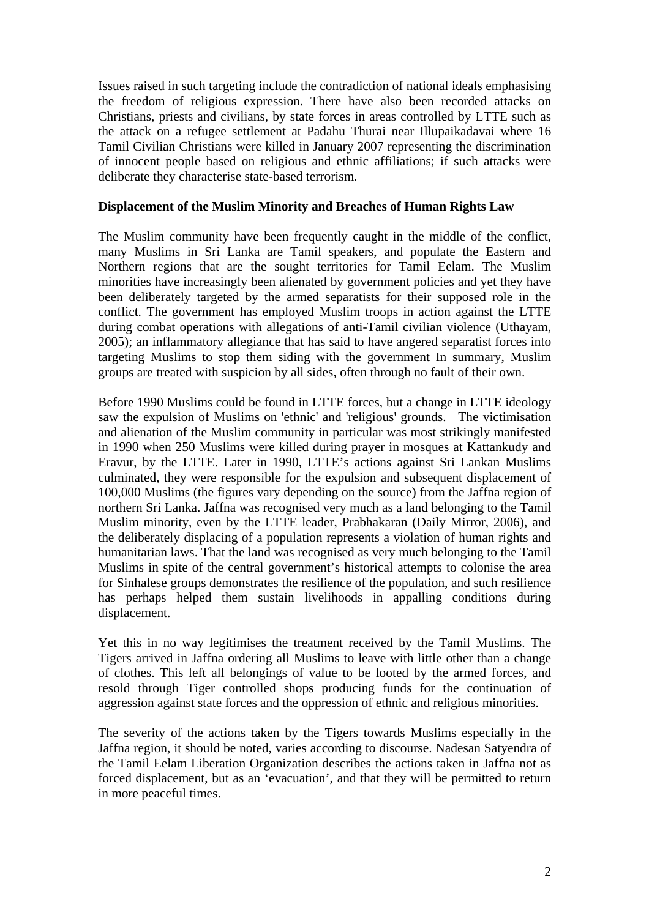Issues raised in such targeting include the contradiction of national ideals emphasising the freedom of religious expression. There have also been recorded attacks on Christians, priests and civilians, by state forces in areas controlled by LTTE such as the attack on a refugee settlement at Padahu Thurai near Illupaikadavai where 16 Tamil Civilian Christians were killed in January 2007 representing the discrimination of innocent people based on religious and ethnic affiliations; if such attacks were deliberate they characterise state-based terrorism.

#### **Displacement of the Muslim Minority and Breaches of Human Rights Law**

The Muslim community have been frequently caught in the middle of the conflict, many Muslims in Sri Lanka are Tamil speakers, and populate the Eastern and Northern regions that are the sought territories for Tamil Eelam. The Muslim minorities have increasingly been alienated by government policies and yet they have been deliberately targeted by the armed separatists for their supposed role in the conflict. The government has employed Muslim troops in action against the LTTE during combat operations with allegations of anti-Tamil civilian violence (Uthayam, 2005); an inflammatory allegiance that has said to have angered separatist forces into targeting Muslims to stop them siding with the government In summary, Muslim groups are treated with suspicion by all sides, often through no fault of their own.

Before 1990 Muslims could be found in LTTE forces, but a change in LTTE ideology saw the expulsion of Muslims on 'ethnic' and 'religious' grounds. The victimisation and alienation of the Muslim community in particular was most strikingly manifested in 1990 when 250 Muslims were killed during prayer in mosques at Kattankudy and Eravur, by the LTTE. Later in 1990, LTTE's actions against Sri Lankan Muslims culminated, they were responsible for the expulsion and subsequent displacement of 100,000 Muslims (the figures vary depending on the source) from the Jaffna region of northern Sri Lanka. Jaffna was recognised very much as a land belonging to the Tamil Muslim minority, even by the LTTE leader, Prabhakaran (Daily Mirror, 2006), and the deliberately displacing of a population represents a violation of human rights and humanitarian laws. That the land was recognised as very much belonging to the Tamil Muslims in spite of the central government's historical attempts to colonise the area for Sinhalese groups demonstrates the resilience of the population, and such resilience has perhaps helped them sustain livelihoods in appalling conditions during displacement.

Yet this in no way legitimises the treatment received by the Tamil Muslims. The Tigers arrived in Jaffna ordering all Muslims to leave with little other than a change of clothes. This left all belongings of value to be looted by the armed forces, and resold through Tiger controlled shops producing funds for the continuation of aggression against state forces and the oppression of ethnic and religious minorities.

The severity of the actions taken by the Tigers towards Muslims especially in the Jaffna region, it should be noted, varies according to discourse. Nadesan Satyendra of the Tamil Eelam Liberation Organization describes the actions taken in Jaffna not as forced displacement, but as an 'evacuation', and that they will be permitted to return in more peaceful times.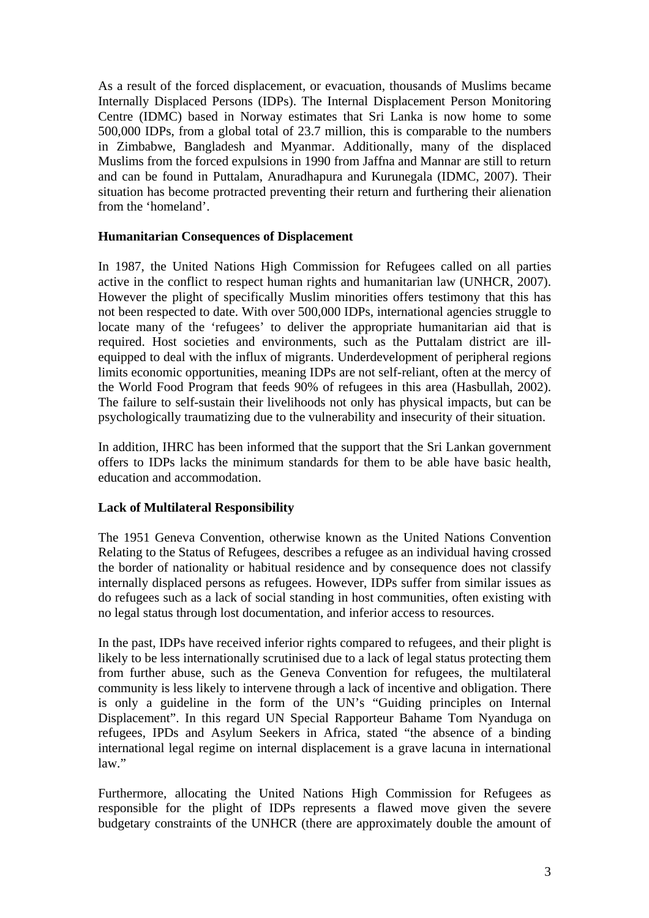As a result of the forced displacement, or evacuation, thousands of Muslims became Internally Displaced Persons (IDPs). The Internal Displacement Person Monitoring Centre (IDMC) based in Norway estimates that Sri Lanka is now home to some 500,000 IDPs, from a global total of 23.7 million, this is comparable to the numbers in Zimbabwe, Bangladesh and Myanmar. Additionally, many of the displaced Muslims from the forced expulsions in 1990 from Jaffna and Mannar are still to return and can be found in Puttalam, Anuradhapura and Kurunegala (IDMC, 2007). Their situation has become protracted preventing their return and furthering their alienation from the 'homeland'.

#### **Humanitarian Consequences of Displacement**

In 1987, the United Nations High Commission for Refugees called on all parties active in the conflict to respect human rights and humanitarian law (UNHCR, 2007). However the plight of specifically Muslim minorities offers testimony that this has not been respected to date. With over 500,000 IDPs, international agencies struggle to locate many of the 'refugees' to deliver the appropriate humanitarian aid that is required. Host societies and environments, such as the Puttalam district are illequipped to deal with the influx of migrants. Underdevelopment of peripheral regions limits economic opportunities, meaning IDPs are not self-reliant, often at the mercy of the World Food Program that feeds 90% of refugees in this area (Hasbullah, 2002). The failure to self-sustain their livelihoods not only has physical impacts, but can be psychologically traumatizing due to the vulnerability and insecurity of their situation.

In addition, IHRC has been informed that the support that the Sri Lankan government offers to IDPs lacks the minimum standards for them to be able have basic health, education and accommodation.

### **Lack of Multilateral Responsibility**

The 1951 Geneva Convention, otherwise known as the United Nations Convention Relating to the Status of Refugees, describes a refugee as an individual having crossed the border of nationality or habitual residence and by consequence does not classify internally displaced persons as refugees. However, IDPs suffer from similar issues as do refugees such as a lack of social standing in host communities, often existing with no legal status through lost documentation, and inferior access to resources.

In the past, IDPs have received inferior rights compared to refugees, and their plight is likely to be less internationally scrutinised due to a lack of legal status protecting them from further abuse, such as the Geneva Convention for refugees, the multilateral community is less likely to intervene through a lack of incentive and obligation. There is only a guideline in the form of the UN's "Guiding principles on Internal Displacement". In this regard UN Special Rapporteur Bahame Tom Nyanduga on refugees, IPDs and Asylum Seekers in Africa, stated "the absence of a binding international legal regime on internal displacement is a grave lacuna in international law."

Furthermore, allocating the United Nations High Commission for Refugees as responsible for the plight of IDPs represents a flawed move given the severe budgetary constraints of the UNHCR (there are approximately double the amount of